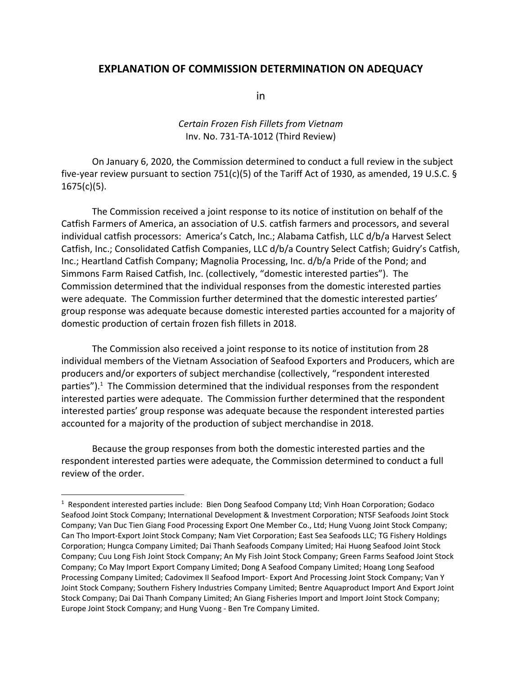## **EXPLANATION OF COMMISSION DETERMINATION ON ADEQUACY**

in

## *Certain Frozen Fish Fillets from Vietnam* Inv. No. 731‐TA‐1012 (Third Review)

On January 6, 2020, the Commission determined to conduct a full review in the subject five-year review pursuant to section 751(c)(5) of the Tariff Act of 1930, as amended, 19 U.S.C. § 1675(c)(5).

The Commission received a joint response to its notice of institution on behalf of the Catfish Farmers of America, an association of U.S. catfish farmers and processors, and several individual catfish processors: America's Catch, Inc.; Alabama Catfish, LLC d/b/a Harvest Select Catfish, Inc.; Consolidated Catfish Companies, LLC d/b/a Country Select Catfish; Guidry's Catfish, Inc.; Heartland Catfish Company; Magnolia Processing, Inc. d/b/a Pride of the Pond; and Simmons Farm Raised Catfish, Inc. (collectively, "domestic interested parties"). The Commission determined that the individual responses from the domestic interested parties were adequate. The Commission further determined that the domestic interested parties' group response was adequate because domestic interested parties accounted for a majority of domestic production of certain frozen fish fillets in 2018.

The Commission also received a joint response to its notice of institution from 28 individual members of the Vietnam Association of Seafood Exporters and Producers, which are producers and/or exporters of subject merchandise (collectively, "respondent interested parties").<sup>1</sup> The Commission determined that the individual responses from the respondent interested parties were adequate. The Commission further determined that the respondent interested parties' group response was adequate because the respondent interested parties accounted for a majority of the production of subject merchandise in 2018.

Because the group responses from both the domestic interested parties and the respondent interested parties were adequate, the Commission determined to conduct a full review of the order.

<sup>&</sup>lt;sup>1</sup> Respondent interested parties include: Bien Dong Seafood Company Ltd; Vinh Hoan Corporation; Godaco Seafood Joint Stock Company; International Development & Investment Corporation; NTSF Seafoods Joint Stock Company; Van Duc Tien Giang Food Processing Export One Member Co., Ltd; Hung Vuong Joint Stock Company; Can Tho Import‐Export Joint Stock Company; Nam Viet Corporation; East Sea Seafoods LLC; TG Fishery Holdings Corporation; Hungca Company Limited; Dai Thanh Seafoods Company Limited; Hai Huong Seafood Joint Stock Company; Cuu Long Fish Joint Stock Company; An My Fish Joint Stock Company; Green Farms Seafood Joint Stock Company; Co May Import Export Company Limited; Dong A Seafood Company Limited; Hoang Long Seafood Processing Company Limited; Cadovimex II Seafood Import‐ Export And Processing Joint Stock Company; Van Y Joint Stock Company; Southern Fishery Industries Company Limited; Bentre Aquaproduct Import And Export Joint Stock Company; Dai Dai Thanh Company Limited; An Giang Fisheries Import and Import Joint Stock Company; Europe Joint Stock Company; and Hung Vuong ‐ Ben Tre Company Limited.